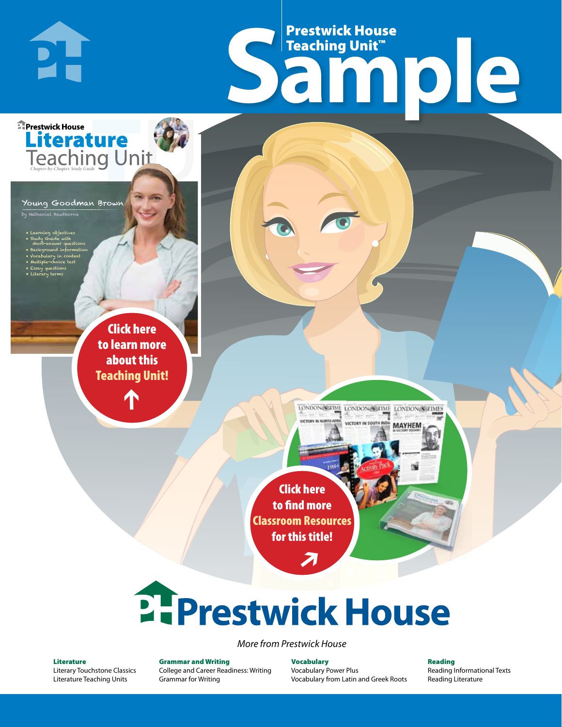# Frestwick House<br>
Sample **Prestwick House**<br>Teaching Unit<sup>\*\*</sup> Teaching Unit™

LONDON-SCITME LONDON/SCITME LONDON/SCITMES

**MAYHEM** 

Young Goodman Brown

**Literature** 

**A Tale of Two Cities**

• Learning objectives • Study Guide with short-answer questions • Background information • Vocabulary in context • Multiple-choice test

by Nathaniel Hawthorne

**E** Prestwick House

**DI-**

CHARLES DICKENS

• Essay questions • Literary terms

> r e o r d e r n o . x x x x x x Click here to learn more about this [Teaching Unit!](https://www.prestwickhouse.com/pdf/id-201343/Young_Goodman_Brown_-_Downloadable_Teaching_Unit)

> > $\mathbf{T}$

1

Click here to find more [Classroom Resources](http://teaching-english.prestwickhouse.com/search#w=young%20goodman%20brown)  for this title!

 $\overline{\boldsymbol{\lambda}}$ 

# **2. Prestwick House**

*More from Prestwick House*

#### Literature

[Literary Touchstone Classics](https://www.prestwickhouse.com/literary-touchstone-classics) [Literature Teaching Units](https://www.prestwickhouse.com/teaching-units)

Grammar and Writing [College and Career Readiness: Writing](https://www.prestwickhouse.com/college-and-career-readiness-writing) [Grammar for Writing](https://www.prestwickhouse.com/book/id-302639/Grammar_for_Writing_-_30_Books_and_Teachers_Edition)

Vocabulary [Vocabulary Power Plus](https://www.prestwickhouse.com/vocabulary-power-plus-for-college-and-career-readiness) [Vocabulary from Latin and Greek Roots](https://www.prestwickhouse.com/vocabulary-from-latin-and-greek-roots) Reading [Reading Informational Texts](https://www.prestwickhouse.com/reading-informational-texts) [Reading Literature](https://www.prestwickhouse.com/reading-literature)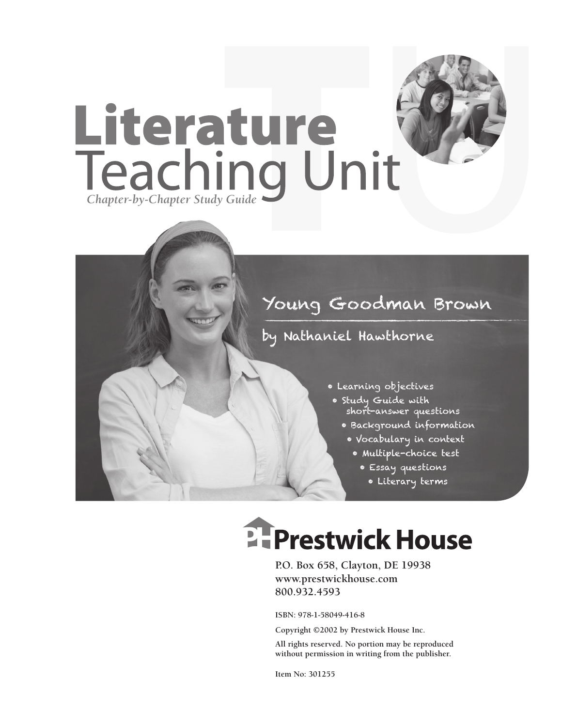

## Young Goodman Brown

### by Nathaniel Hawthorne

- Learning objectives
- Study Guide with short-answer questions
	- Background information
		- Vocabulary in context
			- Multiple-choice test
				- Essay questions
					- Literary terms

# **Ellergetwick House**

**P.O. Box 658, Clayton, DE 19938 www.prestwickhouse.com 800.932.4593**

**ISBN: 978-1-58049-416-8**

**Copyright ©2002 by Prestwick House Inc.**

**All rights reserved. No portion may be reproduced without permission in writing from the publisher.** 

**Item No: 301255**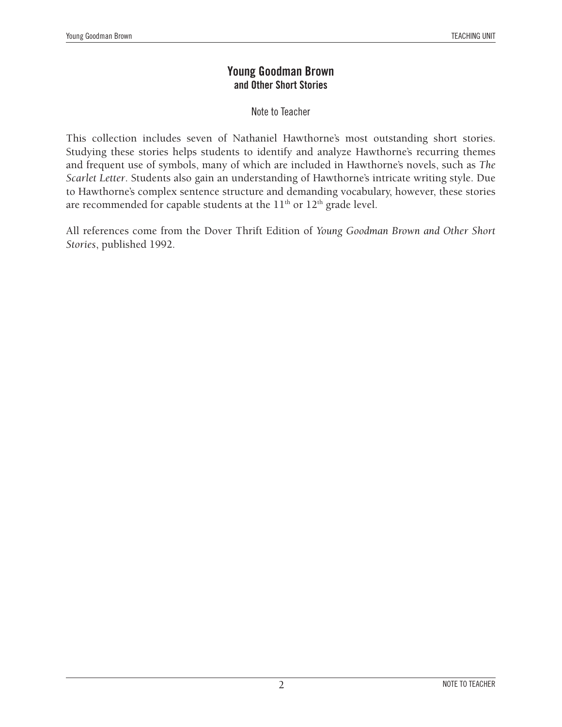#### **Young Goodman Brown and Other Short Stories**

Note to Teacher

This collection includes seven of Nathaniel Hawthorne's most outstanding short stories. Studying these stories helps students to identify and analyze Hawthorne's recurring themes and frequent use of symbols, many of which are included in Hawthorne's novels, such as *The Scarlet Letter*. Students also gain an understanding of Hawthorne's intricate writing style. Due to Hawthorne's complex sentence structure and demanding vocabulary, however, these stories are recommended for capable students at the  $11<sup>th</sup>$  or  $12<sup>th</sup>$  grade level.

All references come from the Dover Thrift Edition of *Young Goodman Brown and Other Short Stories*, published 1992.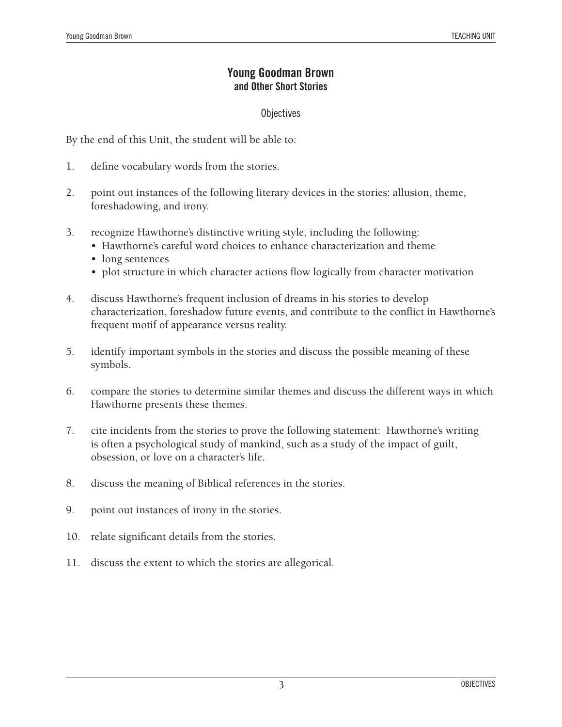#### **Young Goodman Brown and Other Short Stories**

#### **Objectives**

By the end of this Unit, the student will be able to:

- 1. define vocabulary words from the stories.
- 2. point out instances of the following literary devices in the stories: allusion, theme, foreshadowing, and irony.
- 3. recognize Hawthorne's distinctive writing style, including the following:
	- Hawthorne's careful word choices to enhance characterization and theme
	- long sentences
	- plot structure in which character actions flow logically from character motivation
- 4. discuss Hawthorne's frequent inclusion of dreams in his stories to develop characterization, foreshadow future events, and contribute to the conflict in Hawthorne's frequent motif of appearance versus reality.
- 5. identify important symbols in the stories and discuss the possible meaning of these symbols.
- 6. compare the stories to determine similar themes and discuss the different ways in which Hawthorne presents these themes.
- 7. cite incidents from the stories to prove the following statement: Hawthorne's writing is often a psychological study of mankind, such as a study of the impact of guilt, obsession, or love on a character's life.
- 8. discuss the meaning of Biblical references in the stories.
- 9. point out instances of irony in the stories.
- 10. relate significant details from the stories.
- 11. discuss the extent to which the stories are allegorical.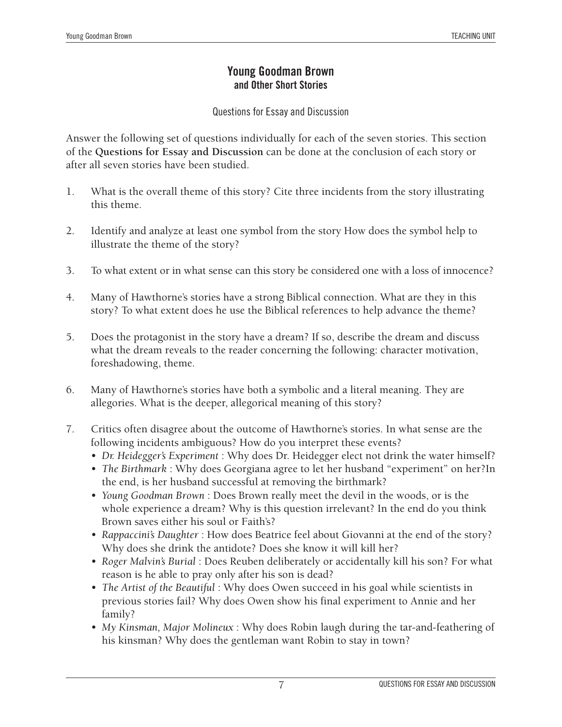#### **Young Goodman Brown and Other Short Stories**

Questions for Essay and Discussion

Answer the following set of questions individually for each of the seven stories. This section of the **Questions for Essay and Discussion** can be done at the conclusion of each story or after all seven stories have been studied.

- 1. What is the overall theme of this story? Cite three incidents from the story illustrating this theme.
- 2. Identify and analyze at least one symbol from the story How does the symbol help to illustrate the theme of the story?
- 3. To what extent or in what sense can this story be considered one with a loss of innocence?
- 4. Many of Hawthorne's stories have a strong Biblical connection. What are they in this story? To what extent does he use the Biblical references to help advance the theme?
- 5. Does the protagonist in the story have a dream? If so, describe the dream and discuss what the dream reveals to the reader concerning the following: character motivation, foreshadowing, theme.
- 6. Many of Hawthorne's stories have both a symbolic and a literal meaning. They are allegories. What is the deeper, allegorical meaning of this story?
- 7. Critics often disagree about the outcome of Hawthorne's stories. In what sense are the following incidents ambiguous? How do you interpret these events?
	- *Dr. Heidegger's Experiment* : Why does Dr. Heidegger elect not drink the water himself?
	- *The Birthmark* : Why does Georgiana agree to let her husband "experiment" on her?In the end, is her husband successful at removing the birthmark?
	- *Young Goodman Brown* : Does Brown really meet the devil in the woods, or is the whole experience a dream? Why is this question irrelevant? In the end do you think Brown saves either his soul or Faith's?
	- *Rappaccini's Daughter* : How does Beatrice feel about Giovanni at the end of the story? Why does she drink the antidote? Does she know it will kill her?
	- *Roger Malvin's Burial* : Does Reuben deliberately or accidentally kill his son? For what reason is he able to pray only after his son is dead?
	- *The Artist of the Beautiful* : Why does Owen succeed in his goal while scientists in previous stories fail? Why does Owen show his final experiment to Annie and her family?
	- *My Kinsman, Major Molineux* : Why does Robin laugh during the tar-and-feathering of his kinsman? Why does the gentleman want Robin to stay in town?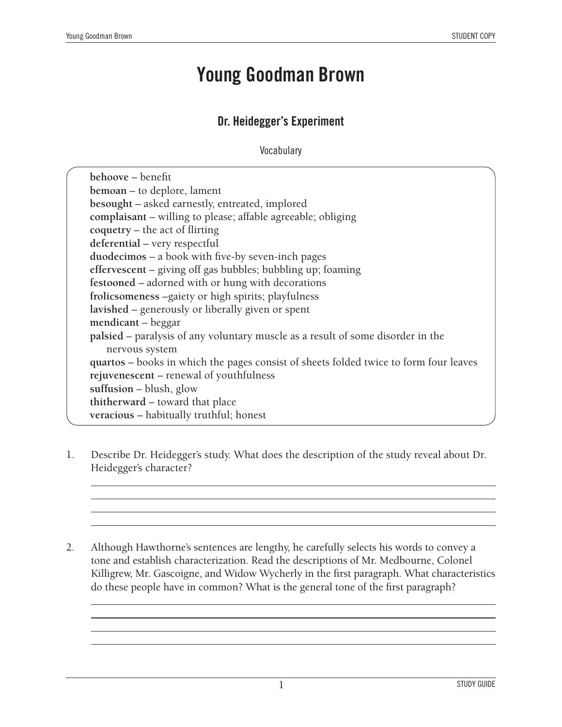$\overline{a}$  $\overline{a}$  $\overline{a}$  $\overline{a}$ 

 $\overline{a}$  $\overline{a}$  $\overline{a}$  $\overline{a}$ 

## **Young Goodman Brown**

#### **Dr. Heidegger's Experiment**

**Vocabulary** 

| behoove – benefit                                                                      |  |
|----------------------------------------------------------------------------------------|--|
| <b>bemoan</b> – to deplore, lament                                                     |  |
| besought – asked earnestly, entreated, implored                                        |  |
| complaisant - willing to please; affable agreeable; obliging                           |  |
| $coquetry - the act of flitting$                                                       |  |
| deferential - very respectful                                                          |  |
| duodecimos - a book with five-by seven-inch pages                                      |  |
| effervescent – giving off gas bubbles; bubbling up; foaming                            |  |
| festooned – adorned with or hung with decorations                                      |  |
| frolicsomeness -gaiety or high spirits; playfulness                                    |  |
| lavished – generously or liberally given or spent                                      |  |
| mendicant – beggar                                                                     |  |
| <b>palsied</b> – paralysis of any voluntary muscle as a result of some disorder in the |  |
| nervous system                                                                         |  |
| quartos – books in which the pages consist of sheets folded twice to form four leaves  |  |
| rejuvenescent – renewal of youthfulness                                                |  |
| suffusion $-$ blush, glow                                                              |  |
| thitherward – toward that place                                                        |  |
| veracious - habitually truthful; honest                                                |  |
|                                                                                        |  |

- 1. Describe Dr. Heidegger's study. What does the description of the study reveal about Dr. Heidegger's character?
- 2. Although Hawthorne's sentences are lengthy, he carefully selects his words to convey a tone and establish characterization. Read the descriptions of Mr. Medbourne, Colonel Killigrew, Mr. Gascoigne, and Widow Wycherly in the first paragraph. What characteristics do these people have in common? What is the general tone of the first paragraph?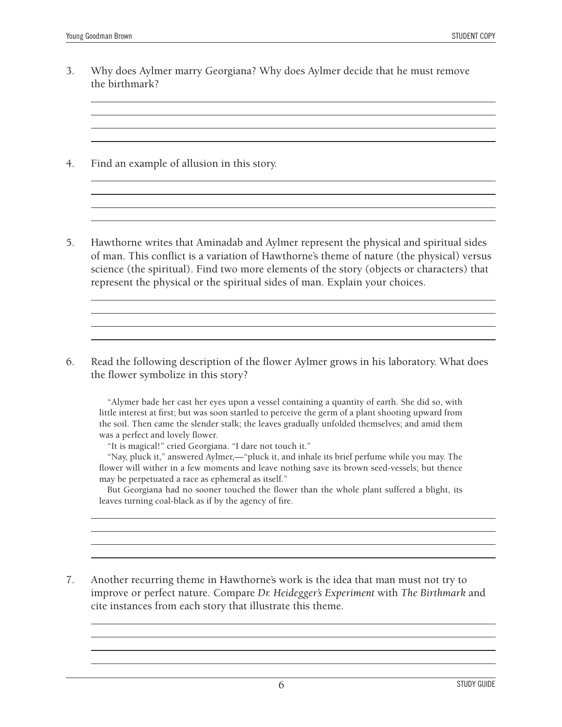$\overline{a}$  $\overline{a}$  $\overline{a}$  $\overline{a}$ 

 $\overline{a}$  $\overline{a}$  $\overline{a}$  $\overline{a}$ 

 $\overline{a}$  $\overline{a}$  $\overline{a}$  $\overline{a}$ 

 $\overline{a}$  $\overline{a}$  $\overline{a}$  $\overline{a}$ 

 $\overline{a}$  $\overline{a}$  $\overline{a}$  $\overline{a}$ 

3. Why does Aylmer marry Georgiana? Why does Aylmer decide that he must remove the birthmark?

4. Find an example of allusion in this story.

5. Hawthorne writes that Aminadab and Aylmer represent the physical and spiritual sides of man. This conflict is a variation of Hawthorne's theme of nature (the physical) versus science (the spiritual). Find two more elements of the story (objects or characters) that represent the physical or the spiritual sides of man. Explain your choices.

6. Read the following description of the flower Aylmer grows in his laboratory. What does the flower symbolize in this story?

"Alymer bade her cast her eyes upon a vessel containing a quantity of earth. She did so, with little interest at first; but was soon startled to perceive the germ of a plant shooting upward from the soil. Then came the slender stalk; the leaves gradually unfolded themselves; and amid them was a perfect and lovely flower.

"It is magical!" cried Georgiana. "I dare not touch it."

"Nay, pluck it," answered Aylmer,—"pluck it, and inhale its brief perfume while you may. The flower will wither in a few moments and leave nothing save its brown seed-vessels; but thence may be perpetuated a race as ephemeral as itself."

But Georgiana had no sooner touched the flower than the whole plant suffered a blight, its leaves turning coal-black as if by the agency of fire.

7. Another recurring theme in Hawthorne's work is the idea that man must not try to improve or perfect nature. Compare *Dr. Heidegger's Experiment* with *The Birthmark* and cite instances from each story that illustrate this theme.